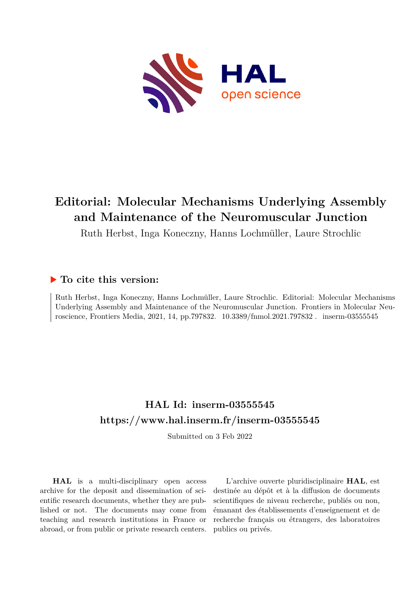

# **Editorial: Molecular Mechanisms Underlying Assembly and Maintenance of the Neuromuscular Junction**

Ruth Herbst, Inga Koneczny, Hanns Lochmüller, Laure Strochlic

## **To cite this version:**

Ruth Herbst, Inga Koneczny, Hanns Lochmüller, Laure Strochlic. Editorial: Molecular Mechanisms Underlying Assembly and Maintenance of the Neuromuscular Junction. Frontiers in Molecular Neuroscience, Frontiers Media, 2021, 14, pp.797832.  $10.3389/fnmol.2021.797832$ . inserm-03555545

## **HAL Id: inserm-03555545 <https://www.hal.inserm.fr/inserm-03555545>**

Submitted on 3 Feb 2022

**HAL** is a multi-disciplinary open access archive for the deposit and dissemination of scientific research documents, whether they are published or not. The documents may come from teaching and research institutions in France or abroad, or from public or private research centers.

L'archive ouverte pluridisciplinaire **HAL**, est destinée au dépôt et à la diffusion de documents scientifiques de niveau recherche, publiés ou non, émanant des établissements d'enseignement et de recherche français ou étrangers, des laboratoires publics ou privés.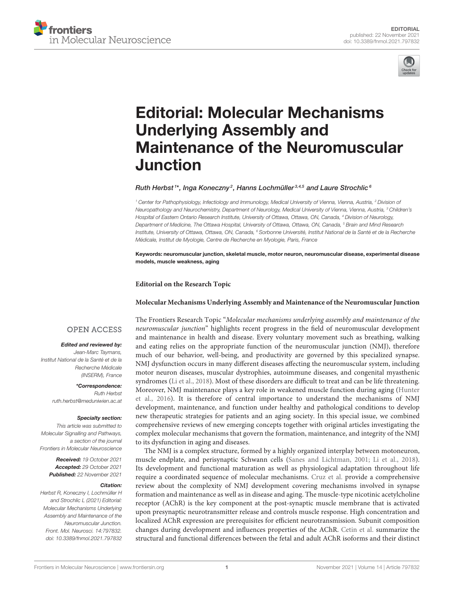



# Editorial: Molecular Mechanisms Underlying Assembly and [Maintenance of the Neuromuscular](https://www.frontiersin.org/articles/10.3389/fnmol.2021.797832/full) Junction

Ruth Herbst<sup>1\*</sup>, Inga Koneczny<sup>2</sup>, Hanns Lochmüller $^{3,4,5}$  and Laure Strochlic $^6$ 

<sup>1</sup> Center for Pathophysiology, Infectiology and Immunology, Medical University of Vienna, Vienna, Austria, <sup>2</sup> Division of Neuropathology and Neurochemistry, Department of Neurology, Medical University of Vienna, Vienna, Austria, <sup>3</sup> Children's Hospital of Eastern Ontario Research Institute, University of Ottawa, Ottawa, ON, Canada, <sup>4</sup> Division of Neurology, Department of Medicine, The Ottawa Hospital, University of Ottawa, Ottawa, ON, Canada, <sup>5</sup> Brain and Mind Research Institute, University of Ottawa, Ottawa, ON, Canada, <sup>6</sup> Sorbonne Université, Institut National de la Santé et de la Recherche Médicale, Institut de Myologie, Centre de Recherche en Myologie, Paris, France

Keywords: neuromuscular junction, skeletal muscle, motor neuron, neuromuscular disease, experimental disease models, muscle weakness, aging

**Editorial on the Research Topic**

#### **[Molecular Mechanisms Underlying Assembly and Maintenance of the Neuromuscular Junction](https://www.frontiersin.org/research-topics/9335/molecular-mechanisms-underlying-assembly-and-maintenance-of-the-neuromuscular-junction)**

### **OPEN ACCESS**

#### Edited and reviewed by:

Jean-Marc Taymans, Institut National de la Santé et de la Recherche Médicale (INSERM), France

> \*Correspondence: Ruth Herbst [ruth.herbst@meduniwien.ac.at](mailto:ruth.herbst@meduniwien.ac.at)

#### Specialty section:

This article was submitted to Molecular Signalling and Pathways, a section of the journal Frontiers in Molecular Neuroscience

> Received: 19 October 2021 Accepted: 29 October 2021 Published: 22 November 2021

#### Citation:

Herbst R, Koneczny I, Lochmüller H and Strochlic L (2021) Editorial: Molecular Mechanisms Underlying Assembly and Maintenance of the Neuromuscular Junction. Front. Mol. Neurosci. 14:797832. doi: [10.3389/fnmol.2021.797832](https://doi.org/10.3389/fnmol.2021.797832) The Frontiers Research Topic "Molecular mechanisms underlying assembly and maintenance of the neuromuscular junction" highlights recent progress in the field of neuromuscular development and maintenance in health and disease. Every voluntary movement such as breathing, walking and eating relies on the appropriate function of the neuromuscular junction (NMJ), therefore much of our behavior, well-being, and productivity are governed by this specialized synapse. NMJ dysfunction occurs in many different diseases affecting the neuromuscular system, including motor neuron diseases, muscular dystrophies, autoimmune diseases, and congenital myasthenic syndromes [\(Li et al., 2018\)](#page-3-0). Most of these disorders are difficult to treat and can be life threatening. Moreover, NMJ maintenance plays a key role in weakened muscle function during aging (Hunter et al., [2016\)](#page-3-1). It is therefore of central importance to understand the mechanisms of NMJ development, maintenance, and function under healthy and pathological conditions to develop new therapeutic strategies for patients and an aging society. In this special issue, we combined comprehensive reviews of new emerging concepts together with original articles investigating the complex molecular mechanisms that govern the formation, maintenance, and integrity of the NMJ to its dysfunction in aging and diseases.

The NMJ is a complex structure, formed by a highly organized interplay between motoneuron, muscle endplate, and perisynaptic Schwann cells [\(Sanes and Lichtman, 2001;](#page-3-2) [Li et al., 2018\)](#page-3-0). Its development and functional maturation as well as physiological adaptation throughout life require a coordinated sequence of molecular mechanisms. [Cruz et al.](https://doi.org/10.3389/fnmol.2020.610964) provide a comprehensive review about the complexity of NMJ development covering mechanisms involved in synapse formation and maintenance as well as in disease and aging. The muscle-type nicotinic acetylcholine receptor (AChR) is the key component at the post-synaptic muscle membrane that is activated upon presynaptic neurotransmitter release and controls muscle response. High concentration and localized AChR expression are prerequisites for efficient neurotransmission. Subunit composition changes during development and influences properties of the AChR. [Cetin et al.](https://doi.org/10.3389/fnmol.2020.581097) summarize the structural and functional differences between the fetal and adult AChR isoforms and their distinct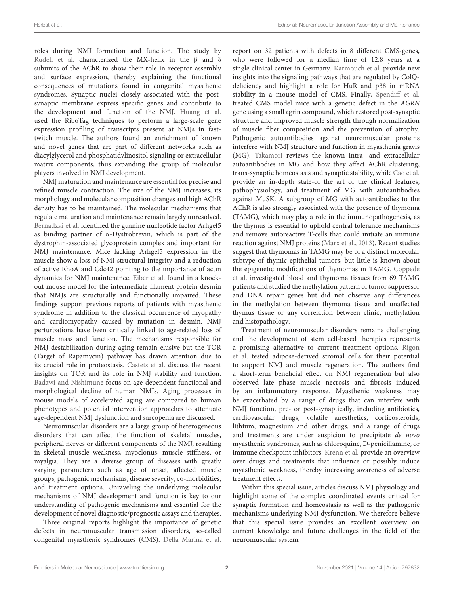roles during NMJ formation and function. The study by [Rudell et al.](https://doi.org/10.3389/fnmol.2020.00048) characterized the MX-helix in the β and δ subunits of the AChR to show their role in receptor assembly and surface expression, thereby explaining the functional consequences of mutations found in congenital myasthenic syndromes. Synaptic nuclei closely associated with the postsynaptic membrane express specific genes and contribute to the development and function of the NMJ. [Huang et al.](https://doi.org/10.3389/fnmol.2020.00154) used the RiboTag techniques to perform a large-scale gene expression profiling of transcripts present at NMJs in fasttwitch muscle. The authors found an enrichment of known and novel genes that are part of different networks such as diacylglycerol and phosphatidylinositol signaling or extracellular matrix components, thus expanding the group of molecular players involved in NMJ development.

NMJ maturation and maintenance are essential for precise and refined muscle contraction. The size of the NMJ increases, its morphology and molecular composition changes and high AChR density has to be maintained. The molecular mechanisms that regulate maturation and maintenance remain largely unresolved. [Bernadzki et al.](https://doi.org/10.3389/fnmol.2020.00104) identified the guanine nucleotide factor Arhgef5 as binding partner of α-Dystrobrevin, which is part of the dystrophin-associated glycoprotein complex and important for NMJ maintenance. Mice lacking Arhgef5 expression in the muscle show a loss of NMJ structural integrity and a reduction of active RhoA and Cdc42 pointing to the importance of actin dynamics for NMJ maintenance. [Eiber et al.](https://doi.org/10.3389/fnmol.2020.567084) found in a knockout mouse model for the intermediate filament protein desmin that NMJs are structurally and functionally impaired. These findings support previous reports of patients with myasthenic syndrome in addition to the classical occurrence of myopathy and cardiomyopathy caused by mutation in desmin. NMJ perturbations have been critically linked to age-related loss of muscle mass and function. The mechanisms responsible for NMJ destabilization during aging remain elusive but the TOR (Target of Rapamycin) pathway has drawn attention due to its crucial role in proteostasis. [Castets et al.](https://doi.org/10.3389/fnmol.2020.00162) discuss the recent insights on TOR and its role in NMJ stability and function. [Badawi and Nishimune](https://doi.org/10.3389/fnmol.2020.568426) focus on age-dependent functional and morphological decline of human NMJs. Aging processes in mouse models of accelerated aging are compared to human phenotypes and potential intervention approaches to attenuate age-dependent NMJ dysfunction and sarcopenia are discussed.

Neuromuscular disorders are a large group of heterogeneous disorders that can affect the function of skeletal muscles, peripheral nerves or different components of the NMJ, resulting in skeletal muscle weakness, myoclonus, muscle stiffness, or myalgia. They are a diverse group of diseases with greatly varying parameters such as age of onset, affected muscle groups, pathogenic mechanisms, disease severity, co-morbidities, and treatment options. Unraveling the underlying molecular mechanisms of NMJ development and function is key to our understanding of pathogenic mechanisms and essential for the development of novel diagnostic/prognostic assays and therapies.

Three original reports highlight the importance of genetic defects in neuromuscular transmission disorders, so-called congenital myasthenic syndromes (CMS). [Della Marina et al.](https://doi.org/10.3389/fnhum.2020.560860) report on 32 patients with defects in 8 different CMS-genes, who were followed for a median time of 12.8 years at a single clinical center in Germany. [Karmouch et al.](https://doi.org/10.3389/fnmol.2020.568171) provide new insights into the signaling pathways that are regulated by ColQdeficiency and highlight a role for HuR and p38 in mRNA stability in a mouse model of CMS. Finally, [Spendiff et al.](https://doi.org/10.3389/fnmol.2020.594220) treated CMS model mice with a genetic defect in the AGRN gene using a small agrin compound, which restored post-synaptic structure and improved muscle strength through normalization of muscle fiber composition and the prevention of atrophy. Pathogenic autoantibodies against neuromuscular proteins interfere with NMJ structure and function in myasthenia gravis (MG). [Takamori](https://doi.org/10.3389/fnmol.2020.00086) reviews the known intra- and extracellular autoantibodies in MG and how they affect AChR clustering, trans-synaptic homeostasis and synaptic stability, while [Cao et al.](https://doi.org/10.3389/fnmol.2020.00159) provide an in-depth state-of the art of the clinical features, pathophysiology, and treatment of MG with autoantibodies against MuSK. A subgroup of MG with autoantibodies to the AChR is also strongly associated with the presence of thymoma (TAMG), which may play a role in the immunopathogenesis, as the thymus is essential to uphold central tolerance mechanisms and remove autoreactive T-cells that could initiate an immune reaction against NMJ proteins [\(Marx et al., 2013\)](#page-3-3). Recent studies suggest that thymomas in TAMG may be of a distinct molecular subtype of thymic epithelial tumors, but little is known about the epigenetic modifications of thymomas in TAMG. Coppedè et al. [investigated blood and thymoma tissues from 69 TAMG](https://doi.org/10.3389/fnmol.2020.567676) patients and studied the methylation pattern of tumor suppressor and DNA repair genes but did not observe any differences in the methylation between thymoma tissue and unaffected thymus tissue or any correlation between clinic, methylation and histopathology.

Treatment of neuromuscular disorders remains challenging and the development of stem cell-based therapies represents a promising alternative to current treatment options. Rigon et al. [tested adipose-derived stromal cells for their potential](https://doi.org/10.3389/fnmol.2020.00107) to support NMJ and muscle regeneration. The authors find a short-term beneficial effect on NMJ regeneration but also observed late phase muscle necrosis and fibrosis induced by an inflammatory response. Myasthenic weakness may be exacerbated by a range of drugs that can interfere with NMJ function, pre- or post-synaptically, including antibiotics, cardiovascular drugs, volatile anesthetics, corticosteroids, lithium, magnesium and other drugs, and a range of drugs and treatments are under suspicion to precipitate de novo myasthenic syndromes, such as chloroquine, D-penicillamine, or immune checkpoint inhibitors. [Krenn et al.](https://doi.org/10.3389/fnmol.2020.00156) provide an overview over drugs and treatments that influence or possibly induce myasthenic weakness, thereby increasing awareness of adverse treatment effects.

Within this special issue, articles discuss NMJ physiology and highlight some of the complex coordinated events critical for synaptic formation and homeostasis as well as the pathogenic mechanisms underlying NMJ dysfunction. We therefore believe that this special issue provides an excellent overview on current knowledge and future challenges in the field of the neuromuscular system.